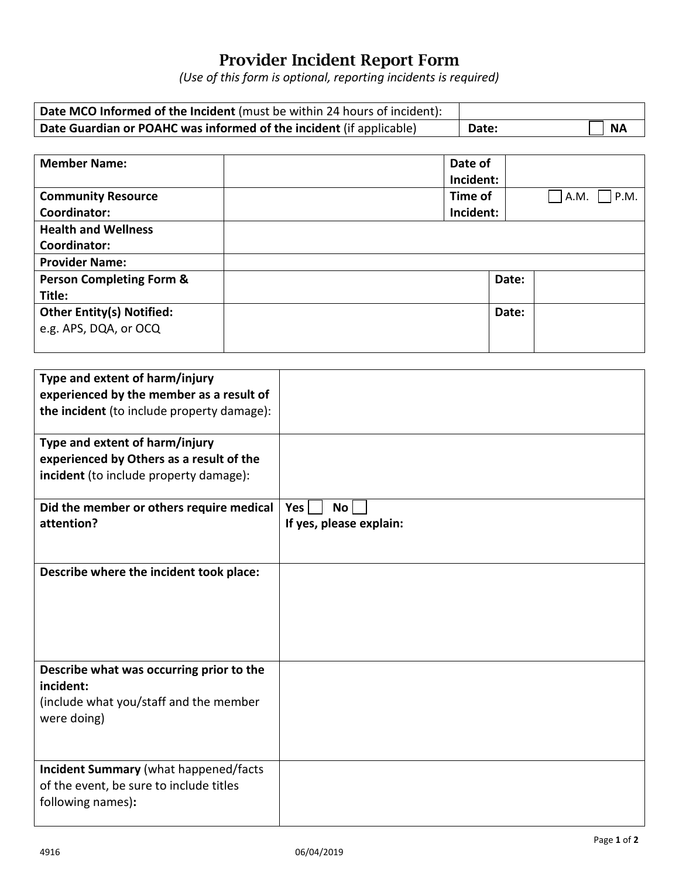## Provider Incident Report Form

*(Use of this form is optional, reporting incidents is required)*

| Date MCO Informed of the Incident (must be within 24 hours of incident): |       |      |
|--------------------------------------------------------------------------|-------|------|
| Date Guardian or POAHC was informed of the incident (if applicable)      | Date: | ∣ NA |

| <b>Member Name:</b>                 | Date of   |       |              |
|-------------------------------------|-----------|-------|--------------|
|                                     | Incident: |       |              |
| <b>Community Resource</b>           | Time of   |       | P.M.<br>A.M. |
| Coordinator:                        | Incident: |       |              |
| <b>Health and Wellness</b>          |           |       |              |
| Coordinator:                        |           |       |              |
| <b>Provider Name:</b>               |           |       |              |
| <b>Person Completing Form &amp;</b> |           | Date: |              |
| Title:                              |           |       |              |
| <b>Other Entity(s) Notified:</b>    |           | Date: |              |
| e.g. APS, DQA, or OCQ               |           |       |              |
|                                     |           |       |              |

| Type and extent of harm/injury               |                         |
|----------------------------------------------|-------------------------|
| experienced by the member as a result of     |                         |
| the incident (to include property damage):   |                         |
| Type and extent of harm/injury               |                         |
| experienced by Others as a result of the     |                         |
| incident (to include property damage):       |                         |
| Did the member or others require medical     | Yes<br><b>No</b>        |
| attention?                                   | If yes, please explain: |
|                                              |                         |
| Describe where the incident took place:      |                         |
|                                              |                         |
|                                              |                         |
|                                              |                         |
|                                              |                         |
| Describe what was occurring prior to the     |                         |
| incident:                                    |                         |
| (include what you/staff and the member       |                         |
| were doing)                                  |                         |
|                                              |                         |
| <b>Incident Summary (what happened/facts</b> |                         |
| of the event, be sure to include titles      |                         |
| following names):                            |                         |
|                                              |                         |